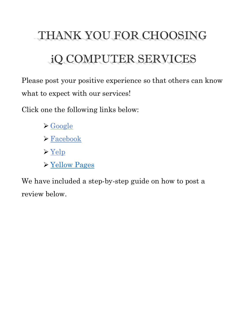# THANK YOU FOR CHOOSING iQ COMPUTER SERVICES

Please post your positive experience so that others can know what to expect with our services!

Click one the following links below:

- ➢ [Google](https://www.google.com/search?q=iq+computer+services&ei=WnadYKONArix5NoPld-14AI&oq=iq+computer+services&gs_lcp=Cgdnd3Mtd2l6EAMyCwguEMcBEK8BEJMCMgIIJjoHCAAQsAMQHjoGCAAQFhAeUL1pWIR1YKh3aAFwAHgAgAFPiAGGBpIBAjEymAEAoAEBqgEHZ3dzLXdpesgBAcABAQ&sclient=gws-wiz&ved=0ahUKEwijop35qsfwAhW4GFkFHZVvDSwQ4dUDCA4&uact=5)
- ➢ [Facebook](https://www.facebook.com/iqcomputers/reviews/?ref=page_internal)
- $\triangleright$  [Yelp](https://www.yelp.com/biz/iq-computer-services-annandale-6)
- ➢ [Yellow Pages](https://www.yellowpages.com/glenn-dale-md/mip/iq-computer-services-561683195)

We have included a step-by-step guide on how to post a review below.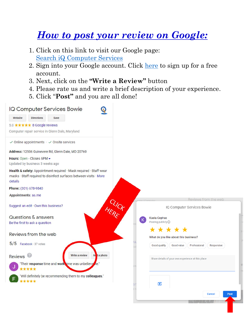## *How to post your review on Google:*

- 1. Click on this link to visit our Google page: [Search iQ Computer Services](https://www.google.com/search?q=iq+computer+services&ei=WnadYKONArix5NoPld-14AI&oq=iq+computer+services&gs_lcp=Cgdnd3Mtd2l6EAMyCwguEMcBEK8BEJMCMgIIJjoHCAAQsAMQHjoGCAAQFhAeUL1pWIR1YKh3aAFwAHgAgAFPiAGGBpIBAjEymAEAoAEBqgEHZ3dzLXdpesgBAcABAQ&sclient=gws-wiz&ved=0ahUKEwijop35qsfwAhW4GFkFHZVvDSwQ4dUDCA4&uact=5)
- 2. Sign into your Google account. Click [here](https://accounts.google.com/signup/v2/webcreateaccount?flowName=GlifWebSignIn&flowEntry=SignUp) to sign up for a free account.
- 3. Next, click on the **"Write a Review"** button
- 4. Please rate us and write a brief description of your experience.
- 5. Click "**Post"** and you are all done!

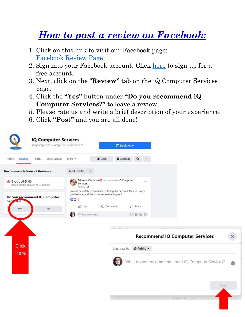## *How to post a review on Facebook:*

- 1. Click on this link to visit our Facebook page: [Facebook Review Page](https://www.facebook.com/iqcomputers/reviews/?ref=page_internal)
- 2. Sign into your Facebook account. Click [here](https://www.facebook.com/r.php) to sign up for a free account.
- 3. Next, click on the "**Review"** tab on the iQ Computer Services page.
- 4. Click the **"Yes"** button under **"Do you recommend iQ Computer Services?"** to leave a review.
- 5. Please rate us and write a brief description of your experience.
- 6. Click **"Post"** and you are all done!

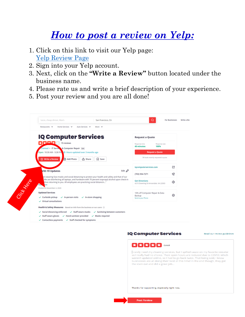### *How to post a review on Yelp:*

- 1. Click on this link to visit our Yelp page: [Yelp Review Page](https://www.yelp.com/biz/iq-computer-services-annandale-6)
- 2. Sign into your Yelp account.

 $\checkmark$  Staff wears gloves  $\checkmark$  Hand sanitizer provided  $\checkmark$  Masks required  $\checkmark$  Contactless payments  $\checkmark$  Staff checked for symptoms

- 3. Next, click on the **"Write a Review"** button located under the business name.
- 4. Please rate us and write a brief description of your experience.
- 5. Post your review and you are all done!

| Restaurants V<br>Home Services V<br>Auto Services V                                   | More $\vee$                                                                                    |                                                              |                        |
|---------------------------------------------------------------------------------------|------------------------------------------------------------------------------------------------|--------------------------------------------------------------|------------------------|
| <b>IQ Computer Services</b>                                                           |                                                                                                | <b>Request a Quote</b>                                       |                        |
| ★▏★▁▎▲▁▏←<br>15 reviews                                                               |                                                                                                | Response time<br><b>40 minutes</b>                           | Response rate<br>100%  |
| Claimed · IT Services & Computer Repair Edit                                          |                                                                                                |                                                              |                        |
| Open 10:30 AM - 5:30 PM O Hours updated over 3 months ago                             |                                                                                                |                                                              | <b>Request a Quote</b> |
| hoto Add Photo<br>S2 Write a Review                                                   | 口 Save<br>rin Share                                                                            | 56 locals recently requested a quote                         |                        |
|                                                                                       |                                                                                                |                                                              |                        |
|                                                                                       |                                                                                                | igcomputerservices.com                                       | 啓                      |
| <b>VID-19 Updates</b>                                                                 | Edit $\mathscr{O}$                                                                             | (703) 594-7271                                               | G)                     |
|                                                                                       | ire wearing face masks and social distancing to protect your health and safety and that of our |                                                              |                        |
| efore returning to you. All employees are practicing social distancin"<br>Ale.<br>pre | We are disinfecting all laptops, and hardware with 70 percent isopropyl alcohol upon check-in  | <b>Get Directions</b><br>4215 Downing St Annandale, VA 22003 | ◈                      |
| Posted on November 4, 2020                                                            |                                                                                                |                                                              |                        |
| <b>Updated Services</b>                                                               |                                                                                                | 10% off Computer Repair & Data                               | ◎                      |
| $\vee$ Curbside pickup<br>$\checkmark$ In-person visits                               | $\checkmark$ In-store shopping                                                                 | Send to your Phone                                           |                        |
|                                                                                       |                                                                                                | Backup                                                       |                        |

**IQ Computer Services** 

Read our review guidelines



rarely need dry cleaning services, but I spilled sauce on my favorite sweater<br>so I really had no choice. Their open hours are reduced due to COVID, which weren't updated online, so I had to go back twice. That being said, I know businesses are all doing their best at this time! In the end though, they got the stain out and did a great job...

Thanks for supporting, especially right now.

**Post Review**